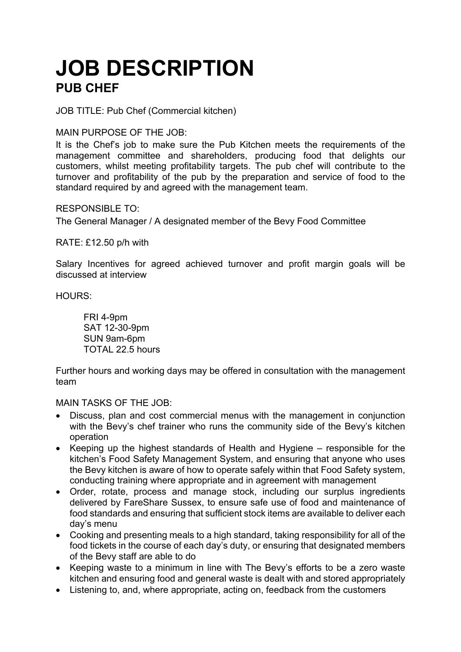## **JOB DESCRIPTION PUB CHEF**

JOB TITLE: Pub Chef (Commercial kitchen)

MAIN PURPOSE OF THE JOB:

It is the Chef's job to make sure the Pub Kitchen meets the requirements of the management committee and shareholders, producing food that delights our customers, whilst meeting profitability targets. The pub chef will contribute to the turnover and profitability of the pub by the preparation and service of food to the standard required by and agreed with the management team.

RESPONSIBLE TO:

The General Manager / A designated member of the Bevy Food Committee

RATE: £12.50 p/h with

Salary Incentives for agreed achieved turnover and profit margin goals will be discussed at interview

HOURS:

FRI 4-9pm SAT 12-30-9pm SUN 9am-6pm TOTAL 22.5 hours

Further hours and working days may be offered in consultation with the management team

MAIN TASKS OF THE JOB:

- Discuss, plan and cost commercial menus with the management in conjunction with the Bevy's chef trainer who runs the community side of the Bevy's kitchen operation
- Keeping up the highest standards of Health and Hygiene responsible for the kitchen's Food Safety Management System, and ensuring that anyone who uses the Bevy kitchen is aware of how to operate safely within that Food Safety system, conducting training where appropriate and in agreement with management
- Order, rotate, process and manage stock, including our surplus ingredients delivered by FareShare Sussex, to ensure safe use of food and maintenance of food standards and ensuring that sufficient stock items are available to deliver each day's menu
- Cooking and presenting meals to a high standard, taking responsibility for all of the food tickets in the course of each day's duty, or ensuring that designated members of the Bevy staff are able to do
- Keeping waste to a minimum in line with The Bevy's efforts to be a zero waste kitchen and ensuring food and general waste is dealt with and stored appropriately
- Listening to, and, where appropriate, acting on, feedback from the customers